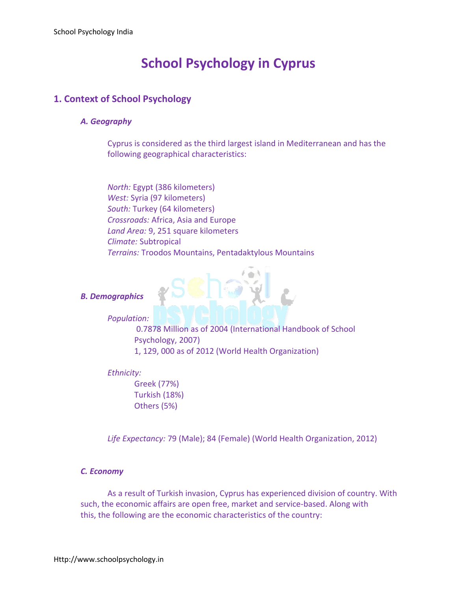# **School Psychology in Cyprus**

# **1. Context of School Psychology**

### *A. Geography*

Cyprus is considered as the third largest island in Mediterranean and has the following geographical characteristics:

*North:* Egypt (386 kilometers) *West:* Syria (97 kilometers) *South:* Turkey (64 kilometers) *Crossroads:* Africa, Asia and Europe *Land Area:* 9, 251 square kilometers *Climate:* Subtropical *Terrains:* Troodos Mountains, Pentadaktylous Mountains

### *B. Demographics*

### *Population:*

0.7878 Million as of 2004 (International Handbook of School Psychology, 2007) 1, 129, 000 as of 2012 (World Health Organization)

### *Ethnicity:*

Greek (77%) Turkish (18%) Others (5%)

*Life Expectancy:* 79 (Male); 84 (Female) (World Health Organization, 2012)

# *C. Economy*

As a result of Turkish invasion, Cyprus has experienced division of country. With such, the economic affairs are open free, market and service-based. Along with this, the following are the economic characteristics of the country: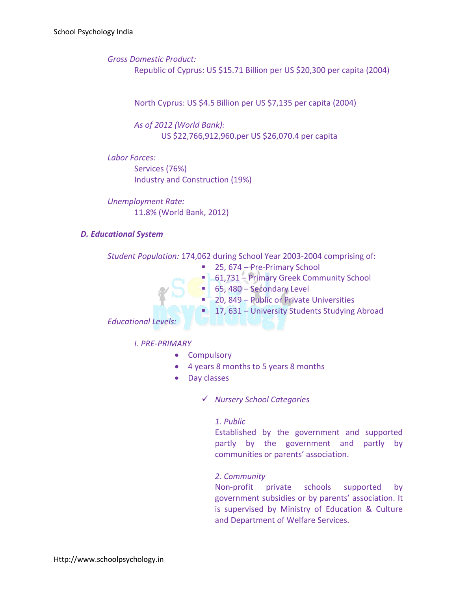*Gross Domestic Product:*  Republic of Cyprus: US \$15.71 Billion per US \$20,300 per capita (2004)

North Cyprus: US \$4.5 Billion per US \$7,135 per capita (2004)

*As of 2012 (World Bank):* US \$22,766,912,960.per US \$26,070.4 per capita

*Labor Forces:* Services (76%) Industry and Construction (19%)

*Unemployment Rate:*  11.8% (World Bank, 2012)

### *D. Educational System*

*Student Population:* 174,062 during School Year 2003-2004 comprising of: ■ 25, 674 – Pre-Primary School

- **61,731 Primary Greek Community School**
- 65, 480 Secondary Level
- 20, 849 Public or Private Universities
- 17, 631 University Students Studying Abroad

*Educational Levels:*

*I. PRE-PRIMARY*

- Compulsory
- 4 years 8 months to 5 years 8 months
- Day classes
	- *Nursery School Categories*

### *1. Public*

Established by the government and supported partly by the government and partly by communities or parents' association.

### *2. Community*

Non-profit private schools supported by government subsidies or by parents' association. It is supervised by Ministry of Education & Culture and Department of Welfare Services.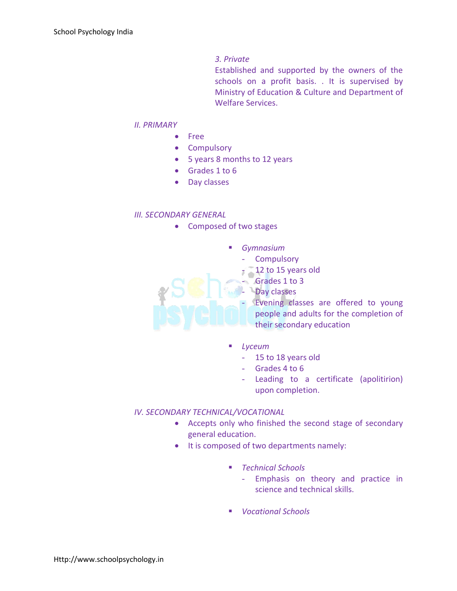### *3. Private*

Established and supported by the owners of the schools on a profit basis. . It is supervised by Ministry of Education & Culture and Department of Welfare Services.

### *II. PRIMARY*

- Free
- **•** Compulsory
- 5 years 8 months to 12 years
- Grades 1 to 6
- Day classes

### *III. SECONDARY GENERAL*

- Composed of two stages
	- *Gymnasium*
		- **Compulsory**
		- 12 to 15 years old
		- Grades 1 to 3
		- Day classes
			- Evening classes are offered to young people and adults for the completion of their secondary education
	- *Lyceum*
		- 15 to 18 years old
		- Grades 4 to 6
		- Leading to a certificate (apolitirion) upon completion.

### *IV. SECONDARY TECHNICAL/VOCATIONAL*

- Accepts only who finished the second stage of secondary general education.
- It is composed of two departments namely:
	- *Technical Schools*
		- Emphasis on theory and practice in science and technical skills.
	- *Vocational Schools*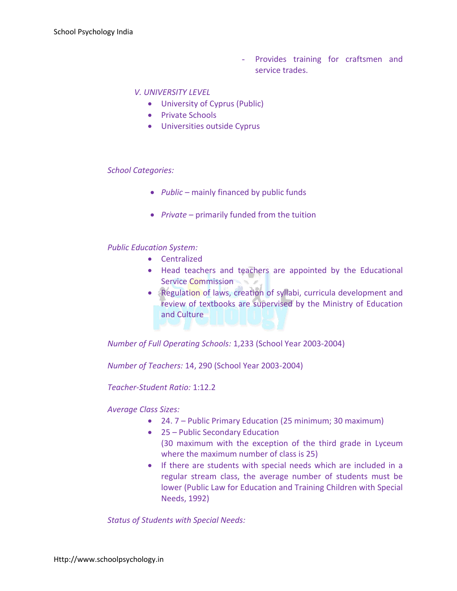- Provides training for craftsmen and service trades.

### *V. UNIVERSITY LEVEL*

- University of Cyprus (Public)
- Private Schools
- Universities outside Cyprus

### *School Categories:*

- *Public* mainly financed by public funds
- *Private* primarily funded from the tuition

### *Public Education System:*

- **•** Centralized
- Head teachers and teachers are appointed by the Educational Service Commission
- Regulation of laws, creation of syllabi, curricula development and review of textbooks are supervised by the Ministry of Education and Culture

*Number of Full Operating Schools:* 1,233 (School Year 2003-2004)

*Number of Teachers:* 14, 290 (School Year 2003-2004)

*Teacher-Student Ratio:* 1:12.2

*Average Class Sizes:*

- 24. 7 Public Primary Education (25 minimum; 30 maximum)
- 25 Public Secondary Education (30 maximum with the exception of the third grade in Lyceum where the maximum number of class is 25)
- If there are students with special needs which are included in a regular stream class, the average number of students must be lower (Public Law for Education and Training Children with Special Needs, 1992)

*Status of Students with Special Needs:*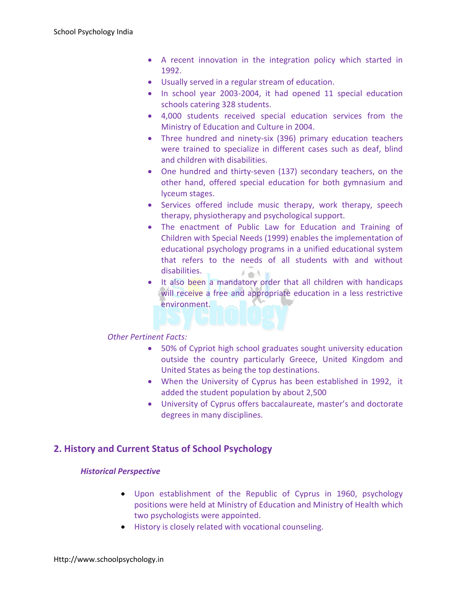- A recent innovation in the integration policy which started in 1992.
- Usually served in a regular stream of education.
- In school year 2003-2004, it had opened 11 special education schools catering 328 students.
- 4,000 students received special education services from the Ministry of Education and Culture in 2004.
- Three hundred and ninety-six (396) primary education teachers were trained to specialize in different cases such as deaf, blind and children with disabilities.
- One hundred and thirty-seven (137) secondary teachers, on the other hand, offered special education for both gymnasium and lyceum stages.
- Services offered include music therapy, work therapy, speech therapy, physiotherapy and psychological support.
- The enactment of Public Law for Education and Training of Children with Special Needs (1999) enables the implementation of educational psychology programs in a unified educational system that refers to the needs of all students with and without disabilities.  $\mathcal{L} \rightarrow \mathcal{L}$
- It also been a mandatory order that all children with handicaps will receive a free and appropriate education in a less restrictive environment.

### *Other Pertinent Facts:*

- 50% of Cypriot high school graduates sought university education outside the country particularly Greece, United Kingdom and United States as being the top destinations.
- When the University of Cyprus has been established in 1992, it added the student population by about 2,500
- University of Cyprus offers baccalaureate, master's and doctorate degrees in many disciplines.

# **2. History and Current Status of School Psychology**

### *Historical Perspective*

- Upon establishment of the Republic of Cyprus in 1960, psychology positions were held at Ministry of Education and Ministry of Health which two psychologists were appointed.
- History is closely related with vocational counseling.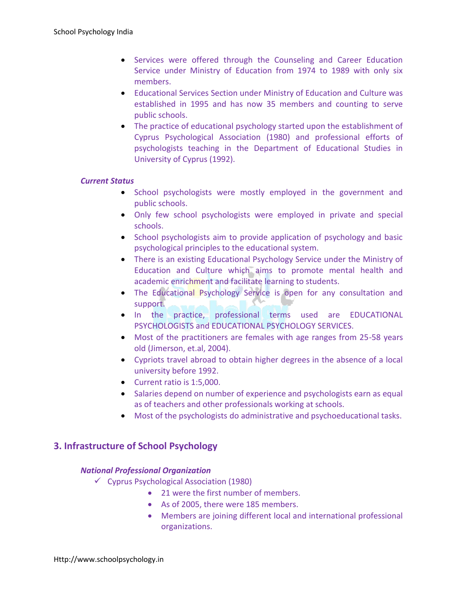- Services were offered through the Counseling and Career Education Service under Ministry of Education from 1974 to 1989 with only six members.
- Educational Services Section under Ministry of Education and Culture was established in 1995 and has now 35 members and counting to serve public schools.
- The practice of educational psychology started upon the establishment of Cyprus Psychological Association (1980) and professional efforts of psychologists teaching in the Department of Educational Studies in University of Cyprus (1992).

### *Current Status*

- School psychologists were mostly employed in the government and public schools.
- Only few school psychologists were employed in private and special schools.
- School psychologists aim to provide application of psychology and basic psychological principles to the educational system.
- There is an existing Educational Psychology Service under the Ministry of Education and Culture which aims to promote mental health and academic enrichment and facilitate learning to students.
- The Educational Psychology Service is open for any consultation and support.
- In the practice, professional terms used are EDUCATIONAL PSYCHOLOGISTS and EDUCATIONAL PSYCHOLOGY SERVICES.
- Most of the practitioners are females with age ranges from 25-58 years old (Jimerson, et.al, 2004).
- Cypriots travel abroad to obtain higher degrees in the absence of a local university before 1992.
- Current ratio is 1:5,000.
- Salaries depend on number of experience and psychologists earn as equal as of teachers and other professionals working at schools.
- Most of the psychologists do administrative and psychoeducational tasks.

# **3. Infrastructure of School Psychology**

# *National Professional Organization*

- $\checkmark$  Cyprus Psychological Association (1980)
	- 21 were the first number of members.
	- As of 2005, there were 185 members.
	- Members are joining different local and international professional organizations.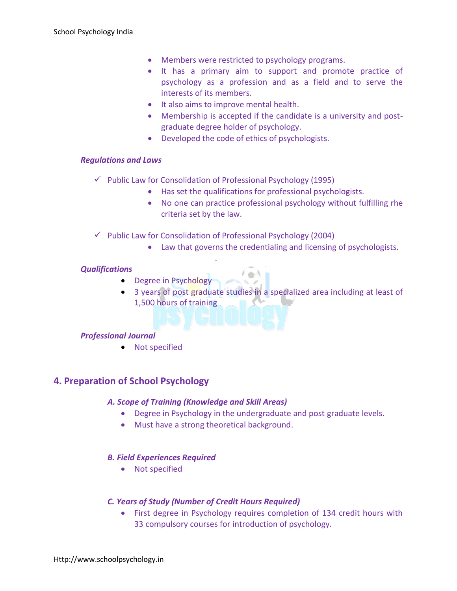- Members were restricted to psychology programs.
- It has a primary aim to support and promote practice of psychology as a profession and as a field and to serve the interests of its members.
- It also aims to improve mental health.
- Membership is accepted if the candidate is a university and postgraduate degree holder of psychology.
- Developed the code of ethics of psychologists.

### *Regulations and Laws*

- $\checkmark$  Public Law for Consolidation of Professional Psychology (1995)
	- Has set the qualifications for professional psychologists.
	- No one can practice professional psychology without fulfilling rhe criteria set by the law.
- $\checkmark$  Public Law for Consolidation of Professional Psychology (2004)

.

Law that governs the credentialing and licensing of psychologists.

### *Qualifications*

- Degree in Psychology
- 3 years of post graduate studies in a specialized area including at least of 1,500 hours of training

### *Professional Journal*

• Not specified

# **4. Preparation of School Psychology**

### *A. Scope of Training (Knowledge and Skill Areas)*

- Degree in Psychology in the undergraduate and post graduate levels.
- Must have a strong theoretical background.

### *B. Field Experiences Required*

Not specified

### *C. Years of Study (Number of Credit Hours Required)*

 First degree in Psychology requires completion of 134 credit hours with 33 compulsory courses for introduction of psychology.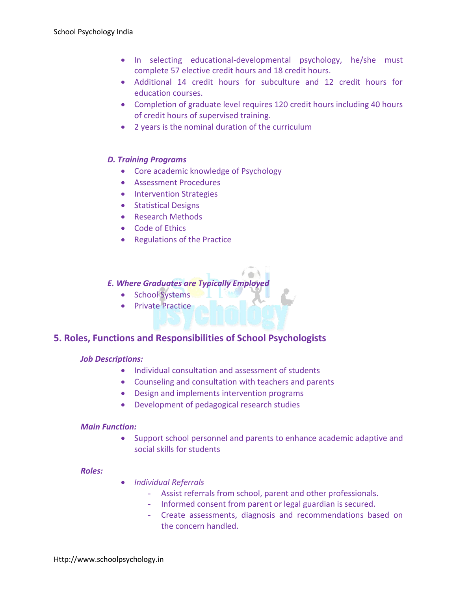- In selecting educational-developmental psychology, he/she must complete 57 elective credit hours and 18 credit hours.
- Additional 14 credit hours for subculture and 12 credit hours for education courses.
- Completion of graduate level requires 120 credit hours including 40 hours of credit hours of supervised training.
- 2 years is the nominal duration of the curriculum

# *D. Training Programs*

- Core academic knowledge of Psychology
- Assessment Procedures
- Intervention Strategies
- **•** Statistical Designs
- Research Methods
- Code of Ethics
- Regulations of the Practice

# *E. Where Graduates are Typically Employed*

- School Systems
- **•** Private Practice

# **5. Roles, Functions and Responsibilities of School Psychologists**

### *Job Descriptions:*

- Individual consultation and assessment of students
- Counseling and consultation with teachers and parents
- Design and implements intervention programs
- Development of pedagogical research studies

### *Main Function:*

 Support school personnel and parents to enhance academic adaptive and social skills for students

### *Roles:*

- *Individual Referrals*
	- Assist referrals from school, parent and other professionals.
	- Informed consent from parent or legal guardian is secured.
	- Create assessments, diagnosis and recommendations based on the concern handled.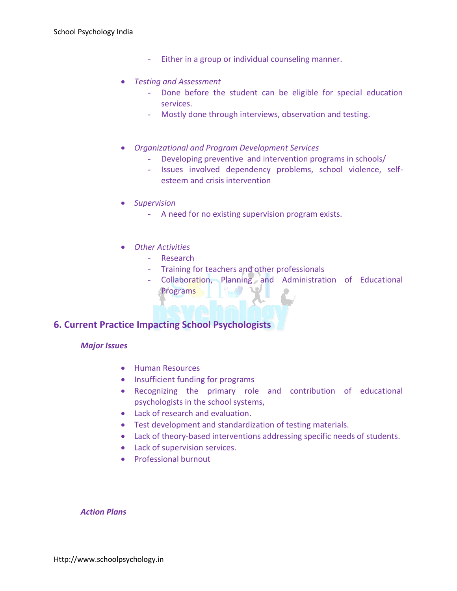- Either in a group or individual counseling manner.
- *Testing and Assessment*
	- Done before the student can be eligible for special education services.
	- Mostly done through interviews, observation and testing.
- *Organizational and Program Development Services*
	- Developing preventive and intervention programs in schools/
	- Issues involved dependency problems, school violence, selfesteem and crisis intervention
- *Supervision*
	- A need for no existing supervision program exists.
- *Other Activities*
	- Research
	- Training for teachers and other professionals
	- Collaboration, Planning and Administration of Educational **Programs**

# **6. Current Practice Impacting School Psychologists**

### *Major Issues*

- **•** Human Resources
- Insufficient funding for programs
- Recognizing the primary role and contribution of educational psychologists in the school systems,
- Lack of research and evaluation.
- Test development and standardization of testing materials.
- Lack of theory-based interventions addressing specific needs of students.
- Lack of supervision services.
- Professional burnout

#### *Action Plans*